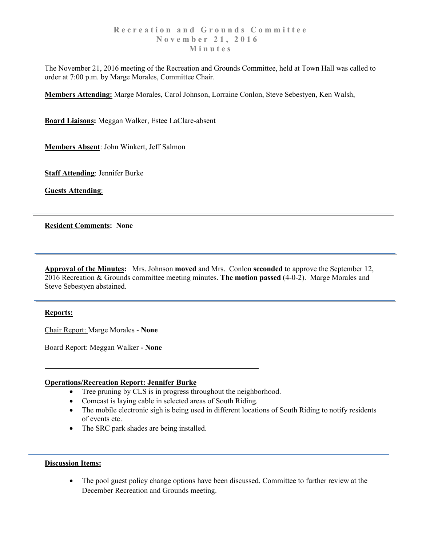The November 21, 2016 meeting of the Recreation and Grounds Committee, held at Town Hall was called to order at 7:00 p.m. by Marge Morales, Committee Chair.

**Members Attending:** Marge Morales, Carol Johnson, Lorraine Conlon, Steve Sebestyen, Ken Walsh,

**Board Liaisons:** Meggan Walker, Estee LaClare-absent

**Members Absent**: John Winkert, Jeff Salmon

**Staff Attending**: Jennifer Burke

**Guests Attending**:

# **Resident Comments: None**

**Approval of the Minutes:** Mrs. Johnson **moved** and Mrs. Conlon **seconded** to approve the September 12, 2016 Recreation & Grounds committee meeting minutes. **The motion passed** (4-0-2). Marge Morales and Steve Sebestyen abstained.

# **Reports:**

Chair Report: Marge Morales - **None**

Board Report: Meggan Walker **- None**

### **Operations/Recreation Report: Jennifer Burke**

- Tree pruning by CLS is in progress throughout the neighborhood.
- Comcast is laying cable in selected areas of South Riding.
- The mobile electronic sigh is being used in different locations of South Riding to notify residents of events etc.
- The SRC park shades are being installed.

# **Discussion Items:**

• The pool guest policy change options have been discussed. Committee to further review at the December Recreation and Grounds meeting.